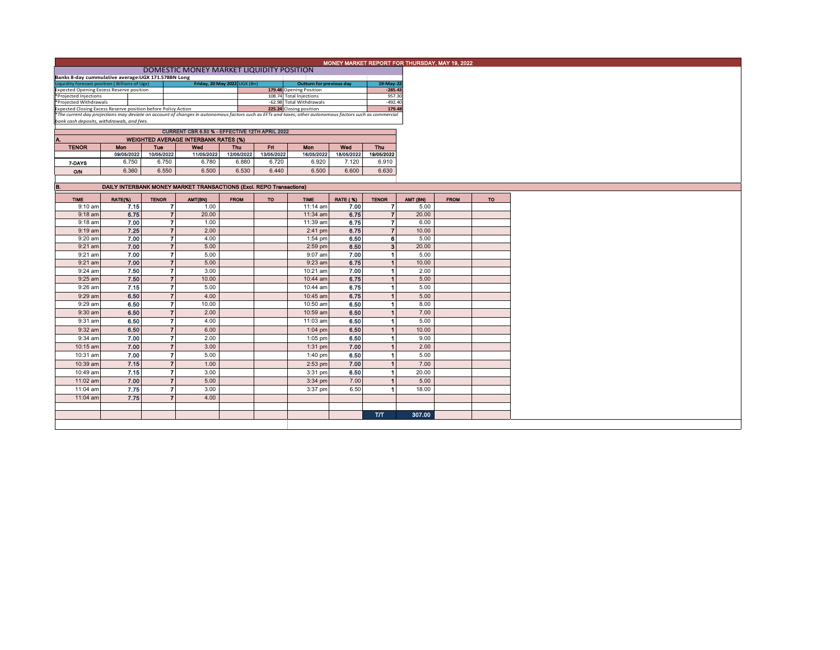|                                                                                                                                      |                                                                          | DOMESTIC MONEY MARKET LIQUIDITY POSITION                                                                                                                                                                                                                                                                          |                                                                                                                                                                                                                                                                                                                                                                                                                                                                                                                                                                                                                                                                       |                                                                                                          |                                           |                                                                                                                                                                                                                                                                                                                                                                                                                                                                                                       |                                                                                                                                                                                                                | MONEY MARKET REPORT FOR THURSDAY, MAY 19, 2022                                                                    |                                                                                                                                                                                                                                                                                                                                                                                                                                                                                                                                                                   |             |
|--------------------------------------------------------------------------------------------------------------------------------------|--------------------------------------------------------------------------|-------------------------------------------------------------------------------------------------------------------------------------------------------------------------------------------------------------------------------------------------------------------------------------------------------------------|-----------------------------------------------------------------------------------------------------------------------------------------------------------------------------------------------------------------------------------------------------------------------------------------------------------------------------------------------------------------------------------------------------------------------------------------------------------------------------------------------------------------------------------------------------------------------------------------------------------------------------------------------------------------------|----------------------------------------------------------------------------------------------------------|-------------------------------------------|-------------------------------------------------------------------------------------------------------------------------------------------------------------------------------------------------------------------------------------------------------------------------------------------------------------------------------------------------------------------------------------------------------------------------------------------------------------------------------------------------------|----------------------------------------------------------------------------------------------------------------------------------------------------------------------------------------------------------------|-------------------------------------------------------------------------------------------------------------------|-------------------------------------------------------------------------------------------------------------------------------------------------------------------------------------------------------------------------------------------------------------------------------------------------------------------------------------------------------------------------------------------------------------------------------------------------------------------------------------------------------------------------------------------------------------------|-------------|
|                                                                                                                                      |                                                                          |                                                                                                                                                                                                                                                                                                                   |                                                                                                                                                                                                                                                                                                                                                                                                                                                                                                                                                                                                                                                                       |                                                                                                          |                                           |                                                                                                                                                                                                                                                                                                                                                                                                                                                                                                       |                                                                                                                                                                                                                |                                                                                                                   |                                                                                                                                                                                                                                                                                                                                                                                                                                                                                                                                                                   |             |
|                                                                                                                                      |                                                                          |                                                                                                                                                                                                                                                                                                                   |                                                                                                                                                                                                                                                                                                                                                                                                                                                                                                                                                                                                                                                                       |                                                                                                          |                                           |                                                                                                                                                                                                                                                                                                                                                                                                                                                                                                       |                                                                                                                                                                                                                |                                                                                                                   |                                                                                                                                                                                                                                                                                                                                                                                                                                                                                                                                                                   |             |
| Banks 8-day cummulative average: UGX 171.578BN Long<br>Friday, 20 May 2022 UGX (Bn)<br>Liquidity forecast position (Billions of Ugx) |                                                                          |                                                                                                                                                                                                                                                                                                                   |                                                                                                                                                                                                                                                                                                                                                                                                                                                                                                                                                                                                                                                                       |                                                                                                          |                                           | <b>Outturn for previous day</b>                                                                                                                                                                                                                                                                                                                                                                                                                                                                       | 19-May-22                                                                                                                                                                                                      |                                                                                                                   |                                                                                                                                                                                                                                                                                                                                                                                                                                                                                                                                                                   |             |
| <b>Expected Opening Excess Reserve position</b>                                                                                      |                                                                          |                                                                                                                                                                                                                                                                                                                   |                                                                                                                                                                                                                                                                                                                                                                                                                                                                                                                                                                                                                                                                       |                                                                                                          | 179.48 Opening Position                   |                                                                                                                                                                                                                                                                                                                                                                                                                                                                                                       | $-285.43$                                                                                                                                                                                                      |                                                                                                                   |                                                                                                                                                                                                                                                                                                                                                                                                                                                                                                                                                                   |             |
|                                                                                                                                      |                                                                          |                                                                                                                                                                                                                                                                                                                   |                                                                                                                                                                                                                                                                                                                                                                                                                                                                                                                                                                                                                                                                       |                                                                                                          |                                           |                                                                                                                                                                                                                                                                                                                                                                                                                                                                                                       |                                                                                                                                                                                                                |                                                                                                                   |                                                                                                                                                                                                                                                                                                                                                                                                                                                                                                                                                                   |             |
|                                                                                                                                      |                                                                          |                                                                                                                                                                                                                                                                                                                   |                                                                                                                                                                                                                                                                                                                                                                                                                                                                                                                                                                                                                                                                       |                                                                                                          |                                           |                                                                                                                                                                                                                                                                                                                                                                                                                                                                                                       |                                                                                                                                                                                                                |                                                                                                                   |                                                                                                                                                                                                                                                                                                                                                                                                                                                                                                                                                                   |             |
|                                                                                                                                      |                                                                          |                                                                                                                                                                                                                                                                                                                   |                                                                                                                                                                                                                                                                                                                                                                                                                                                                                                                                                                                                                                                                       |                                                                                                          |                                           |                                                                                                                                                                                                                                                                                                                                                                                                                                                                                                       |                                                                                                                                                                                                                |                                                                                                                   |                                                                                                                                                                                                                                                                                                                                                                                                                                                                                                                                                                   |             |
|                                                                                                                                      |                                                                          |                                                                                                                                                                                                                                                                                                                   |                                                                                                                                                                                                                                                                                                                                                                                                                                                                                                                                                                                                                                                                       |                                                                                                          |                                           |                                                                                                                                                                                                                                                                                                                                                                                                                                                                                                       |                                                                                                                                                                                                                |                                                                                                                   |                                                                                                                                                                                                                                                                                                                                                                                                                                                                                                                                                                   |             |
|                                                                                                                                      |                                                                          |                                                                                                                                                                                                                                                                                                                   |                                                                                                                                                                                                                                                                                                                                                                                                                                                                                                                                                                                                                                                                       |                                                                                                          |                                           |                                                                                                                                                                                                                                                                                                                                                                                                                                                                                                       |                                                                                                                                                                                                                |                                                                                                                   |                                                                                                                                                                                                                                                                                                                                                                                                                                                                                                                                                                   |             |
| A.                                                                                                                                   |                                                                          |                                                                                                                                                                                                                                                                                                                   |                                                                                                                                                                                                                                                                                                                                                                                                                                                                                                                                                                                                                                                                       |                                                                                                          |                                           |                                                                                                                                                                                                                                                                                                                                                                                                                                                                                                       |                                                                                                                                                                                                                |                                                                                                                   |                                                                                                                                                                                                                                                                                                                                                                                                                                                                                                                                                                   |             |
|                                                                                                                                      |                                                                          |                                                                                                                                                                                                                                                                                                                   |                                                                                                                                                                                                                                                                                                                                                                                                                                                                                                                                                                                                                                                                       |                                                                                                          |                                           |                                                                                                                                                                                                                                                                                                                                                                                                                                                                                                       |                                                                                                                                                                                                                |                                                                                                                   |                                                                                                                                                                                                                                                                                                                                                                                                                                                                                                                                                                   |             |
|                                                                                                                                      |                                                                          |                                                                                                                                                                                                                                                                                                                   |                                                                                                                                                                                                                                                                                                                                                                                                                                                                                                                                                                                                                                                                       |                                                                                                          |                                           |                                                                                                                                                                                                                                                                                                                                                                                                                                                                                                       |                                                                                                                                                                                                                |                                                                                                                   |                                                                                                                                                                                                                                                                                                                                                                                                                                                                                                                                                                   |             |
|                                                                                                                                      |                                                                          |                                                                                                                                                                                                                                                                                                                   |                                                                                                                                                                                                                                                                                                                                                                                                                                                                                                                                                                                                                                                                       |                                                                                                          |                                           |                                                                                                                                                                                                                                                                                                                                                                                                                                                                                                       |                                                                                                                                                                                                                |                                                                                                                   |                                                                                                                                                                                                                                                                                                                                                                                                                                                                                                                                                                   |             |
|                                                                                                                                      |                                                                          |                                                                                                                                                                                                                                                                                                                   |                                                                                                                                                                                                                                                                                                                                                                                                                                                                                                                                                                                                                                                                       |                                                                                                          |                                           |                                                                                                                                                                                                                                                                                                                                                                                                                                                                                                       |                                                                                                                                                                                                                |                                                                                                                   |                                                                                                                                                                                                                                                                                                                                                                                                                                                                                                                                                                   |             |
|                                                                                                                                      |                                                                          |                                                                                                                                                                                                                                                                                                                   |                                                                                                                                                                                                                                                                                                                                                                                                                                                                                                                                                                                                                                                                       |                                                                                                          |                                           |                                                                                                                                                                                                                                                                                                                                                                                                                                                                                                       |                                                                                                                                                                                                                |                                                                                                                   |                                                                                                                                                                                                                                                                                                                                                                                                                                                                                                                                                                   |             |
|                                                                                                                                      |                                                                          |                                                                                                                                                                                                                                                                                                                   |                                                                                                                                                                                                                                                                                                                                                                                                                                                                                                                                                                                                                                                                       |                                                                                                          |                                           |                                                                                                                                                                                                                                                                                                                                                                                                                                                                                                       |                                                                                                                                                                                                                |                                                                                                                   |                                                                                                                                                                                                                                                                                                                                                                                                                                                                                                                                                                   |             |
|                                                                                                                                      |                                                                          |                                                                                                                                                                                                                                                                                                                   |                                                                                                                                                                                                                                                                                                                                                                                                                                                                                                                                                                                                                                                                       |                                                                                                          |                                           |                                                                                                                                                                                                                                                                                                                                                                                                                                                                                                       |                                                                                                                                                                                                                |                                                                                                                   |                                                                                                                                                                                                                                                                                                                                                                                                                                                                                                                                                                   |             |
|                                                                                                                                      |                                                                          |                                                                                                                                                                                                                                                                                                                   |                                                                                                                                                                                                                                                                                                                                                                                                                                                                                                                                                                                                                                                                       |                                                                                                          |                                           |                                                                                                                                                                                                                                                                                                                                                                                                                                                                                                       |                                                                                                                                                                                                                |                                                                                                                   |                                                                                                                                                                                                                                                                                                                                                                                                                                                                                                                                                                   | <b>TO</b>   |
|                                                                                                                                      |                                                                          |                                                                                                                                                                                                                                                                                                                   |                                                                                                                                                                                                                                                                                                                                                                                                                                                                                                                                                                                                                                                                       |                                                                                                          |                                           |                                                                                                                                                                                                                                                                                                                                                                                                                                                                                                       |                                                                                                                                                                                                                |                                                                                                                   |                                                                                                                                                                                                                                                                                                                                                                                                                                                                                                                                                                   |             |
|                                                                                                                                      |                                                                          |                                                                                                                                                                                                                                                                                                                   |                                                                                                                                                                                                                                                                                                                                                                                                                                                                                                                                                                                                                                                                       |                                                                                                          |                                           |                                                                                                                                                                                                                                                                                                                                                                                                                                                                                                       |                                                                                                                                                                                                                |                                                                                                                   |                                                                                                                                                                                                                                                                                                                                                                                                                                                                                                                                                                   |             |
|                                                                                                                                      |                                                                          |                                                                                                                                                                                                                                                                                                                   |                                                                                                                                                                                                                                                                                                                                                                                                                                                                                                                                                                                                                                                                       |                                                                                                          |                                           |                                                                                                                                                                                                                                                                                                                                                                                                                                                                                                       |                                                                                                                                                                                                                |                                                                                                                   |                                                                                                                                                                                                                                                                                                                                                                                                                                                                                                                                                                   |             |
|                                                                                                                                      |                                                                          |                                                                                                                                                                                                                                                                                                                   |                                                                                                                                                                                                                                                                                                                                                                                                                                                                                                                                                                                                                                                                       |                                                                                                          |                                           |                                                                                                                                                                                                                                                                                                                                                                                                                                                                                                       |                                                                                                                                                                                                                |                                                                                                                   |                                                                                                                                                                                                                                                                                                                                                                                                                                                                                                                                                                   |             |
|                                                                                                                                      |                                                                          |                                                                                                                                                                                                                                                                                                                   |                                                                                                                                                                                                                                                                                                                                                                                                                                                                                                                                                                                                                                                                       |                                                                                                          |                                           |                                                                                                                                                                                                                                                                                                                                                                                                                                                                                                       |                                                                                                                                                                                                                |                                                                                                                   |                                                                                                                                                                                                                                                                                                                                                                                                                                                                                                                                                                   |             |
|                                                                                                                                      |                                                                          |                                                                                                                                                                                                                                                                                                                   |                                                                                                                                                                                                                                                                                                                                                                                                                                                                                                                                                                                                                                                                       |                                                                                                          |                                           |                                                                                                                                                                                                                                                                                                                                                                                                                                                                                                       |                                                                                                                                                                                                                |                                                                                                                   |                                                                                                                                                                                                                                                                                                                                                                                                                                                                                                                                                                   |             |
|                                                                                                                                      |                                                                          |                                                                                                                                                                                                                                                                                                                   |                                                                                                                                                                                                                                                                                                                                                                                                                                                                                                                                                                                                                                                                       |                                                                                                          |                                           |                                                                                                                                                                                                                                                                                                                                                                                                                                                                                                       |                                                                                                                                                                                                                |                                                                                                                   |                                                                                                                                                                                                                                                                                                                                                                                                                                                                                                                                                                   |             |
|                                                                                                                                      |                                                                          |                                                                                                                                                                                                                                                                                                                   |                                                                                                                                                                                                                                                                                                                                                                                                                                                                                                                                                                                                                                                                       |                                                                                                          |                                           |                                                                                                                                                                                                                                                                                                                                                                                                                                                                                                       |                                                                                                                                                                                                                |                                                                                                                   |                                                                                                                                                                                                                                                                                                                                                                                                                                                                                                                                                                   |             |
|                                                                                                                                      |                                                                          |                                                                                                                                                                                                                                                                                                                   |                                                                                                                                                                                                                                                                                                                                                                                                                                                                                                                                                                                                                                                                       |                                                                                                          |                                           |                                                                                                                                                                                                                                                                                                                                                                                                                                                                                                       |                                                                                                                                                                                                                |                                                                                                                   |                                                                                                                                                                                                                                                                                                                                                                                                                                                                                                                                                                   |             |
|                                                                                                                                      |                                                                          |                                                                                                                                                                                                                                                                                                                   |                                                                                                                                                                                                                                                                                                                                                                                                                                                                                                                                                                                                                                                                       |                                                                                                          |                                           |                                                                                                                                                                                                                                                                                                                                                                                                                                                                                                       |                                                                                                                                                                                                                |                                                                                                                   |                                                                                                                                                                                                                                                                                                                                                                                                                                                                                                                                                                   |             |
|                                                                                                                                      |                                                                          |                                                                                                                                                                                                                                                                                                                   |                                                                                                                                                                                                                                                                                                                                                                                                                                                                                                                                                                                                                                                                       |                                                                                                          |                                           |                                                                                                                                                                                                                                                                                                                                                                                                                                                                                                       |                                                                                                                                                                                                                |                                                                                                                   |                                                                                                                                                                                                                                                                                                                                                                                                                                                                                                                                                                   |             |
|                                                                                                                                      |                                                                          |                                                                                                                                                                                                                                                                                                                   |                                                                                                                                                                                                                                                                                                                                                                                                                                                                                                                                                                                                                                                                       |                                                                                                          |                                           |                                                                                                                                                                                                                                                                                                                                                                                                                                                                                                       |                                                                                                                                                                                                                |                                                                                                                   |                                                                                                                                                                                                                                                                                                                                                                                                                                                                                                                                                                   |             |
|                                                                                                                                      |                                                                          | 4.00                                                                                                                                                                                                                                                                                                              |                                                                                                                                                                                                                                                                                                                                                                                                                                                                                                                                                                                                                                                                       |                                                                                                          | 10:45 am                                  |                                                                                                                                                                                                                                                                                                                                                                                                                                                                                                       |                                                                                                                                                                                                                |                                                                                                                   |                                                                                                                                                                                                                                                                                                                                                                                                                                                                                                                                                                   |             |
|                                                                                                                                      |                                                                          | 10.00                                                                                                                                                                                                                                                                                                             |                                                                                                                                                                                                                                                                                                                                                                                                                                                                                                                                                                                                                                                                       |                                                                                                          | 10:50 am                                  | 6.50                                                                                                                                                                                                                                                                                                                                                                                                                                                                                                  |                                                                                                                                                                                                                | 8.00                                                                                                              |                                                                                                                                                                                                                                                                                                                                                                                                                                                                                                                                                                   |             |
|                                                                                                                                      |                                                                          |                                                                                                                                                                                                                                                                                                                   |                                                                                                                                                                                                                                                                                                                                                                                                                                                                                                                                                                                                                                                                       |                                                                                                          |                                           |                                                                                                                                                                                                                                                                                                                                                                                                                                                                                                       | $\blacktriangleleft$                                                                                                                                                                                           |                                                                                                                   |                                                                                                                                                                                                                                                                                                                                                                                                                                                                                                                                                                   |             |
|                                                                                                                                      |                                                                          |                                                                                                                                                                                                                                                                                                                   |                                                                                                                                                                                                                                                                                                                                                                                                                                                                                                                                                                                                                                                                       |                                                                                                          |                                           |                                                                                                                                                                                                                                                                                                                                                                                                                                                                                                       |                                                                                                                                                                                                                |                                                                                                                   |                                                                                                                                                                                                                                                                                                                                                                                                                                                                                                                                                                   |             |
|                                                                                                                                      |                                                                          |                                                                                                                                                                                                                                                                                                                   |                                                                                                                                                                                                                                                                                                                                                                                                                                                                                                                                                                                                                                                                       |                                                                                                          |                                           |                                                                                                                                                                                                                                                                                                                                                                                                                                                                                                       |                                                                                                                                                                                                                |                                                                                                                   |                                                                                                                                                                                                                                                                                                                                                                                                                                                                                                                                                                   |             |
|                                                                                                                                      |                                                                          |                                                                                                                                                                                                                                                                                                                   |                                                                                                                                                                                                                                                                                                                                                                                                                                                                                                                                                                                                                                                                       |                                                                                                          |                                           |                                                                                                                                                                                                                                                                                                                                                                                                                                                                                                       |                                                                                                                                                                                                                |                                                                                                                   |                                                                                                                                                                                                                                                                                                                                                                                                                                                                                                                                                                   |             |
|                                                                                                                                      |                                                                          |                                                                                                                                                                                                                                                                                                                   |                                                                                                                                                                                                                                                                                                                                                                                                                                                                                                                                                                                                                                                                       |                                                                                                          |                                           |                                                                                                                                                                                                                                                                                                                                                                                                                                                                                                       |                                                                                                                                                                                                                |                                                                                                                   |                                                                                                                                                                                                                                                                                                                                                                                                                                                                                                                                                                   |             |
|                                                                                                                                      |                                                                          |                                                                                                                                                                                                                                                                                                                   |                                                                                                                                                                                                                                                                                                                                                                                                                                                                                                                                                                                                                                                                       |                                                                                                          |                                           |                                                                                                                                                                                                                                                                                                                                                                                                                                                                                                       |                                                                                                                                                                                                                |                                                                                                                   |                                                                                                                                                                                                                                                                                                                                                                                                                                                                                                                                                                   |             |
|                                                                                                                                      |                                                                          |                                                                                                                                                                                                                                                                                                                   |                                                                                                                                                                                                                                                                                                                                                                                                                                                                                                                                                                                                                                                                       |                                                                                                          | $1:40$ pm                                 |                                                                                                                                                                                                                                                                                                                                                                                                                                                                                                       |                                                                                                                                                                                                                |                                                                                                                   |                                                                                                                                                                                                                                                                                                                                                                                                                                                                                                                                                                   |             |
|                                                                                                                                      |                                                                          | 1.00                                                                                                                                                                                                                                                                                                              |                                                                                                                                                                                                                                                                                                                                                                                                                                                                                                                                                                                                                                                                       |                                                                                                          | $2:53$ pm                                 | 7.00                                                                                                                                                                                                                                                                                                                                                                                                                                                                                                  | $\vert$ 1                                                                                                                                                                                                      | 7.00                                                                                                              |                                                                                                                                                                                                                                                                                                                                                                                                                                                                                                                                                                   |             |
|                                                                                                                                      |                                                                          | 3.00                                                                                                                                                                                                                                                                                                              |                                                                                                                                                                                                                                                                                                                                                                                                                                                                                                                                                                                                                                                                       |                                                                                                          | 3:31 pm                                   | 6.50                                                                                                                                                                                                                                                                                                                                                                                                                                                                                                  | $\blacktriangleleft$                                                                                                                                                                                           | 20.00                                                                                                             |                                                                                                                                                                                                                                                                                                                                                                                                                                                                                                                                                                   |             |
|                                                                                                                                      |                                                                          | 5.00                                                                                                                                                                                                                                                                                                              |                                                                                                                                                                                                                                                                                                                                                                                                                                                                                                                                                                                                                                                                       |                                                                                                          | $3:34$ pm                                 | 7.00                                                                                                                                                                                                                                                                                                                                                                                                                                                                                                  | $\blacktriangleleft$                                                                                                                                                                                           | 5.00                                                                                                              |                                                                                                                                                                                                                                                                                                                                                                                                                                                                                                                                                                   |             |
|                                                                                                                                      |                                                                          |                                                                                                                                                                                                                                                                                                                   |                                                                                                                                                                                                                                                                                                                                                                                                                                                                                                                                                                                                                                                                       |                                                                                                          |                                           |                                                                                                                                                                                                                                                                                                                                                                                                                                                                                                       |                                                                                                                                                                                                                |                                                                                                                   |                                                                                                                                                                                                                                                                                                                                                                                                                                                                                                                                                                   |             |
|                                                                                                                                      |                                                                          |                                                                                                                                                                                                                                                                                                                   |                                                                                                                                                                                                                                                                                                                                                                                                                                                                                                                                                                                                                                                                       |                                                                                                          |                                           |                                                                                                                                                                                                                                                                                                                                                                                                                                                                                                       |                                                                                                                                                                                                                |                                                                                                                   |                                                                                                                                                                                                                                                                                                                                                                                                                                                                                                                                                                   |             |
|                                                                                                                                      |                                                                          |                                                                                                                                                                                                                                                                                                                   |                                                                                                                                                                                                                                                                                                                                                                                                                                                                                                                                                                                                                                                                       |                                                                                                          |                                           |                                                                                                                                                                                                                                                                                                                                                                                                                                                                                                       |                                                                                                                                                                                                                |                                                                                                                   |                                                                                                                                                                                                                                                                                                                                                                                                                                                                                                                                                                   |             |
|                                                                                                                                      |                                                                          |                                                                                                                                                                                                                                                                                                                   |                                                                                                                                                                                                                                                                                                                                                                                                                                                                                                                                                                                                                                                                       |                                                                                                          |                                           |                                                                                                                                                                                                                                                                                                                                                                                                                                                                                                       |                                                                                                                                                                                                                |                                                                                                                   |                                                                                                                                                                                                                                                                                                                                                                                                                                                                                                                                                                   |             |
|                                                                                                                                      |                                                                          |                                                                                                                                                                                                                                                                                                                   |                                                                                                                                                                                                                                                                                                                                                                                                                                                                                                                                                                                                                                                                       |                                                                                                          |                                           |                                                                                                                                                                                                                                                                                                                                                                                                                                                                                                       |                                                                                                                                                                                                                |                                                                                                                   |                                                                                                                                                                                                                                                                                                                                                                                                                                                                                                                                                                   |             |
| 9:10 am<br>$9:19$ am                                                                                                                 | *Projected Injections<br>*Projected Withdrawals<br><b>Mon</b><br>RATE(%) | bank cash deposits, withdrawals, and fees.<br><b>Tue</b><br>09/05/2022<br>6.750<br>6.750<br>6.360<br><b>TENOR</b><br>7.15<br>6.75<br>7.00<br>7.25<br>7.00<br>7.00<br>7.00<br>7.00<br>7.50<br>7.50<br>7.15<br>6.50<br>6.50<br>6.50<br>6.50<br>6.50<br>7.00<br>7.00<br>7.00<br>7.15<br>7.15<br>7.00<br>7.75<br>7.75 | Expected Closing Excess Reserve position before Policy Action<br>Wed<br>10/05/2022<br>11/05/2022<br>6.780<br>6.550<br>6.500<br>AMT(BN)<br>1.00<br>71<br>20.00<br>$\overline{7}$<br>$\overline{ }$<br>1.00<br>$\overline{7}$<br>2.00<br>7<br>4.00<br>$\overline{7}$<br>5.00<br>7<br>5.00<br>$\overline{7}$<br>5.00<br>71<br>3.00<br>10.00<br>$\overline{7}$<br>$\overline{ }$<br>5.00<br>$\overline{7}$<br>7<br>$\overline{z}$<br>2.00<br>$\overline{7}$<br>4.00<br>$\overline{7}$<br>6.00<br>$\overline{7}$<br>2.00<br>$\overline{7}$<br>3.00<br>$\overline{ }$<br>5.00<br>$\overline{7}$<br>$\overline{7}$<br>$\overline{7}$<br>71<br>3.00<br>$\overline{ }$<br>4.00 | <b>WEIGHTED AVERAGE INTERBANK RATES (%)</b><br><b>Thu</b><br>12/05/2022<br>6.880<br>6.530<br><b>FROM</b> | <b>Fri</b><br>6.720<br>6.440<br><b>TO</b> | 108.74 Total Injections<br>-62.98 Total Withdrawals<br>225.24 Closing position<br>CURRENT CBR 6.50 % - EFFECTIVE 12TH APRIL 2022<br>Mon<br>13/05/2022<br>16/05/2022<br>6.920<br>6.500<br><b>DAILY INTERBANK MONEY MARKET TRANSACTIONS (Excl. REPO Transactions)</b><br><b>TIME</b><br>11:14 am<br>11:34 am<br>11:39 am<br>$2:41$ pm<br>$1:54$ pm<br>$2:59$ pm<br>$9:07$ am<br>$9:23$ am<br>10:21 am<br>10:44 am<br>10:44 am<br>10:59 am<br>11:03 am<br>$1:04$ pm<br>$1:05$ pm<br>$1:31$ pm<br>3:37 pm | Wed<br>18/05/2022<br>7.120<br>6.600<br><b>RATE (%)</b><br>7.00<br>6.75<br>6.75<br>6.75<br>6.50<br>6.50<br>7.00<br>6.75<br>7.00<br>6.75<br>6.75<br>6.75<br>6.50<br>6.50<br>6.50<br>6.50<br>7.00<br>6.50<br>6.50 | <b>Thu</b><br>19/05/2022<br>6.910<br>6.630<br><b>TENOR</b><br>$\blacktriangleleft$<br>$\blacktriangleleft$<br>T/T | 957.30<br>$-492.40$<br>179.48<br>*The current day projections may deviate on account of changes in autonomous factors such as EFTs and taxes; other autonomous factors such as commercial<br>AMT (BN)<br>5.00<br>7<br>20.00<br>$\overline{7}$<br>7<br>6.00<br>$\mathbf{7}$<br>10.00<br>6<br>5.00<br>3 <sup>1</sup><br>20.00<br>5.00<br>$\blacksquare$<br>10.00<br>1<br>2.00<br>$\vert$ 1<br>5.00<br>1<br>5.00<br>11<br>5.00<br>11<br>$\blacksquare$<br>7.00<br>5.00<br>11<br>1<br>10.00<br>9.00<br>$\blacksquare$<br>2.00<br>5.00<br>18.00<br>$\vert$ 1<br>307.00 | <b>FROM</b> |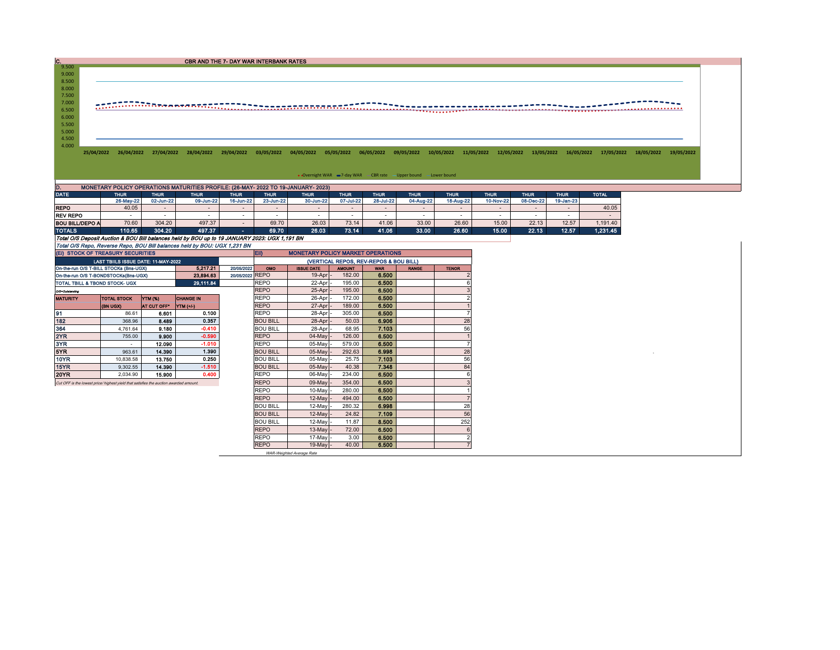| $\mathbf{c}$            |                                                                                                                                                                            |                          | <b>CBR AND THE 7- DAY WAR INTERBANK RATES</b>                                                                                                                                                                                                                                                                                                                                                                                                                                                           |                          |                          |                                          |                          |                                                                    |                          |                          |                          |                          |                          |              |                          |
|-------------------------|----------------------------------------------------------------------------------------------------------------------------------------------------------------------------|--------------------------|---------------------------------------------------------------------------------------------------------------------------------------------------------------------------------------------------------------------------------------------------------------------------------------------------------------------------------------------------------------------------------------------------------------------------------------------------------------------------------------------------------|--------------------------|--------------------------|------------------------------------------|--------------------------|--------------------------------------------------------------------|--------------------------|--------------------------|--------------------------|--------------------------|--------------------------|--------------|--------------------------|
| 9.500<br>9.000<br>8.500 |                                                                                                                                                                            |                          |                                                                                                                                                                                                                                                                                                                                                                                                                                                                                                         |                          |                          |                                          |                          |                                                                    |                          |                          |                          |                          |                          |              |                          |
| 8.000<br>7.500<br>7.000 |                                                                                                                                                                            |                          | $\begin{bmatrix} \overbrace{1,1},\overbrace{1,1},\dots,\dots,\overbrace{1,1},\overbrace{1,1},\dots,\overbrace{1,1},\dots,\overbrace{1,1},\dots,\overbrace{1,1},\dots,\overbrace{1,1},\dots,\overbrace{1,1},\dots,\overbrace{1,1},\dots,\overbrace{1,1},\dots,\overbrace{1,1},\dots,\overbrace{1,1},\dots,\overbrace{1,1},\dots,\overbrace{1,1},\dots,\overbrace{1,1},\dots,\overbrace{1,1},\dots,\overbrace{1,1},\dots,\overbrace{1,1},\dots,\overbrace{1,1},\dots,\overbrace{1,1},\dots,\overbrace{1,$ |                          |                          |                                          |                          |                                                                    |                          |                          |                          |                          |                          |              |                          |
| 6.500<br>6.000<br>5.500 |                                                                                                                                                                            |                          |                                                                                                                                                                                                                                                                                                                                                                                                                                                                                                         |                          |                          |                                          |                          |                                                                    |                          |                          |                          |                          |                          |              |                          |
| 5.000<br>4.500          |                                                                                                                                                                            |                          |                                                                                                                                                                                                                                                                                                                                                                                                                                                                                                         |                          |                          |                                          |                          |                                                                    |                          |                          |                          |                          |                          |              |                          |
| 4.000                   | 26/04/2022<br>25/04/2022                                                                                                                                                   | 27/04/2022               | 28/04/2022                                                                                                                                                                                                                                                                                                                                                                                                                                                                                              | 29/04/2022               | 03/05/2022               | 04/05/2022                               | 05/05/2022               | 06/05/2022                                                         | 09/05/2022               | 10/05/2022               | 11/05/2022<br>12/05/2022 | 13/05/2022               | 16/05/2022               | 17/05/2022   | 18/05/2022<br>19/05/2022 |
|                         |                                                                                                                                                                            |                          |                                                                                                                                                                                                                                                                                                                                                                                                                                                                                                         |                          |                          |                                          |                          |                                                                    |                          |                          |                          |                          |                          |              |                          |
|                         |                                                                                                                                                                            |                          |                                                                                                                                                                                                                                                                                                                                                                                                                                                                                                         |                          |                          |                                          |                          |                                                                    |                          |                          |                          |                          |                          |              |                          |
|                         |                                                                                                                                                                            |                          |                                                                                                                                                                                                                                                                                                                                                                                                                                                                                                         |                          |                          |                                          |                          | • Overnight WAR = 7-day WAR - CBR rate - Upper bound - Lower bound |                          |                          |                          |                          |                          |              |                          |
| D.                      | MONETARY POLICY OPERATIONS MATURITIES PROFILE: (26-MAY- 2022 TO 19-JANUARY- 2023)                                                                                          |                          |                                                                                                                                                                                                                                                                                                                                                                                                                                                                                                         |                          |                          |                                          |                          |                                                                    |                          |                          |                          |                          |                          |              |                          |
| <b>DATE</b>             | <b>THUR</b><br>26-May-22                                                                                                                                                   | <b>THUR</b><br>02-Jun-22 | <b>THUR</b><br>09-Jun-22                                                                                                                                                                                                                                                                                                                                                                                                                                                                                | <b>THUR</b><br>16-Jun-22 | <b>THUR</b><br>23-Jun-22 | <b>THUR</b><br>30-Jun-22                 | <b>THUR</b><br>07-Jul-22 | <b>THUR</b><br>28-Jul-22                                           | <b>THUR</b><br>04-Aug-22 | <b>THUR</b><br>18-Aug-22 | <b>THUR</b><br>10-Nov-22 | <b>THUR</b><br>08-Dec-22 | <b>THUR</b><br>19-Jan-23 | <b>TOTAL</b> |                          |
| <b>REPO</b>             | 40.05                                                                                                                                                                      | $\sim$                   | -                                                                                                                                                                                                                                                                                                                                                                                                                                                                                                       | $\sim$                   | $\sim$                   | $\overline{\phantom{a}}$                 | $\sim$                   | $\sim$                                                             | $\sim$                   | $\overline{\phantom{a}}$ | $\sim$                   | $\sim$                   |                          | 40.05        |                          |
| <b>REV REPO</b>         | $\sim$                                                                                                                                                                     | $\overline{\phantom{a}}$ |                                                                                                                                                                                                                                                                                                                                                                                                                                                                                                         | $\sim$                   |                          | $\overline{\phantom{a}}$                 | $\sim$                   | $\sim$                                                             |                          |                          |                          |                          |                          |              |                          |
| <b>BOU BILL/DEPO A</b>  | 70.60                                                                                                                                                                      | 304.20                   | 497.37                                                                                                                                                                                                                                                                                                                                                                                                                                                                                                  |                          |                          |                                          |                          |                                                                    | $\overline{\phantom{a}}$ | $\overline{\phantom{a}}$ | $\sim$                   | $\sim$                   |                          | $\sim$       |                          |
| <b>TOTALS</b>           |                                                                                                                                                                            |                          |                                                                                                                                                                                                                                                                                                                                                                                                                                                                                                         | $\sim$                   | 69.70                    | 26.03                                    | 73.14                    | 41.06                                                              | 33.00                    | 26.60                    | 15.00                    | 22.13                    | 12.57                    |              |                          |
|                         | 110.65                                                                                                                                                                     | 304.20                   | 497.37                                                                                                                                                                                                                                                                                                                                                                                                                                                                                                  | п.                       | 69.70                    | 26.03                                    | 73.14                    | 41.06                                                              | 33.00                    | 26.60                    | 15.00                    | 22.13                    |                          | 1,191.40     |                          |
|                         |                                                                                                                                                                            |                          |                                                                                                                                                                                                                                                                                                                                                                                                                                                                                                         |                          |                          |                                          |                          |                                                                    |                          |                          |                          |                          | 12.57                    | 1,231.45     |                          |
|                         | Total O/S Deposit Auction & BOU Bill balances held by BOU up to 19 JANUARY 2023: UGX 1,191 BN<br>Total O/S Repo, Reverse Repo, BOU Bill balances held by BOU: UGX 1,231 BN |                          |                                                                                                                                                                                                                                                                                                                                                                                                                                                                                                         |                          |                          |                                          |                          |                                                                    |                          |                          |                          |                          |                          |              |                          |
|                         | (EI) STOCK OF TREASURY SECURITIES                                                                                                                                          |                          |                                                                                                                                                                                                                                                                                                                                                                                                                                                                                                         |                          | EII)                     | <b>MONETARY POLICY MARKET OPERATIONS</b> |                          |                                                                    |                          |                          |                          |                          |                          |              |                          |
|                         | LAST TBIILS ISSUE DATE: 11-MAY-2022                                                                                                                                        |                          |                                                                                                                                                                                                                                                                                                                                                                                                                                                                                                         |                          |                          |                                          |                          | (VERTICAL REPOS, REV-REPOS & BOU BILL)                             |                          |                          |                          |                          |                          |              |                          |
|                         | On-the-run O/S T-BILL STOCKs (Bns-UGX)                                                                                                                                     |                          | 5.217.21                                                                                                                                                                                                                                                                                                                                                                                                                                                                                                | 20/05/2022               | OMO                      | <b>ISSUE DATE</b>                        | <b>AMOUNT</b>            | <b>WAR</b>                                                         | <b>RANGE</b>             | <b>TENOR</b>             |                          |                          |                          |              |                          |
|                         | On-the-run O/S T-BONDSTOCKs(Bns-UGX)                                                                                                                                       |                          | 23,894.63                                                                                                                                                                                                                                                                                                                                                                                                                                                                                               | 20/05/2022 REPO          |                          | 19-Apr                                   | 182.00                   | 6.500                                                              |                          |                          |                          |                          |                          |              |                          |
|                         | TOTAL TBILL & TBOND STOCK- UGX                                                                                                                                             |                          | 29, 111.84                                                                                                                                                                                                                                                                                                                                                                                                                                                                                              |                          | <b>REPO</b>              | 22-Apr                                   | 195.00                   | 6.500                                                              |                          |                          |                          |                          |                          |              |                          |
| O/9-Outstanding         |                                                                                                                                                                            |                          |                                                                                                                                                                                                                                                                                                                                                                                                                                                                                                         |                          | <b>REPO</b>              | 25-Apr -                                 | 195.00                   | 6.500                                                              |                          |                          |                          |                          |                          |              |                          |
| <b>MATURITY</b>         | <b>TOTAL STOCK</b>                                                                                                                                                         | YTM (%)                  | <b>CHANGE IN</b>                                                                                                                                                                                                                                                                                                                                                                                                                                                                                        |                          | <b>REPO</b>              | 26-Apr                                   | 172.00                   | 6.500                                                              |                          |                          |                          |                          |                          |              |                          |

| OPUB-TUITO/S P-BONDSTOCKS(DIS-0GA)                                                    | 23.004.03          |                |                  |  |  |
|---------------------------------------------------------------------------------------|--------------------|----------------|------------------|--|--|
| TOTAL TBILL & TBOND STOCK- UGX                                                        | 29.111.84          |                |                  |  |  |
| Off-Outstanding                                                                       |                    |                |                  |  |  |
| <b>MATURITY</b>                                                                       | <b>TOTAL STOCK</b> | <b>YTM (%)</b> | <b>CHANGE IN</b> |  |  |
|                                                                                       | (BN UGX)           | AT CUT OFF*    | YTM (+/-)        |  |  |
| 91                                                                                    | 86.61              | 6.601          | 0.100            |  |  |
| 182                                                                                   | 368.96             | 8.489          | 0.357            |  |  |
| 364                                                                                   | 4.761.64           | 9.180          | $-0.410$         |  |  |
| 2YR                                                                                   | 755.00             | 9.900          | $-0.590$         |  |  |
| 3YR                                                                                   |                    | 12.090         | $-1.010$         |  |  |
| 5YR                                                                                   | 963.61             | 14,390         | 1.390            |  |  |
| <b>10YR</b>                                                                           | 10.838.58          | 13.750         | 0.250            |  |  |
| 15YR                                                                                  | 9.302.55           | 14.390         | $-1.510$         |  |  |
| <b>20YR</b>                                                                           | 2.034.90           | 15.900         | 0.400            |  |  |
| Cut OFF is the lowest price/ highest yield that satisfies the auction awarded amount. |                    |                |                  |  |  |

|                                                                                       | <b>INDNUMAL</b> | $MUUUUTT$ $IUM(TT)$ |          | ∪ ו∟יו          | $21 - N1$     | 109.00 | v.vvv |     |
|---------------------------------------------------------------------------------------|-----------------|---------------------|----------|-----------------|---------------|--------|-------|-----|
| 91                                                                                    | 86.61           | 6.601               | 0.100    | <b>REPO</b>     | 28-Apr -      | 305.00 | 6.500 |     |
| 182                                                                                   | 368.96          | 8.489               | 0.357    | <b>BOU BILL</b> | 28-Apr -      | 50.03  | 6.906 | 28  |
| 364                                                                                   | 4,761.64        | 9.180               | $-0.410$ | <b>BOU BILL</b> | 28-Apr -      | 68.95  | 7.103 | 56  |
| 2YR                                                                                   | 755.00          | 9.900               | $-0.590$ | <b>REPO</b>     | $04$ -May $-$ | 126.00 | 6.500 |     |
| 3YR.                                                                                  | $\sim$          | 12.090              | $-1.010$ | <b>REPO</b>     | 05-May -      | 579.00 | 6.500 |     |
| 5YR.                                                                                  | 963.61          | 14.390              | 1.390    | <b>BOU BILL</b> | $05$ -May $-$ | 292.63 | 6.998 | 28  |
| 10YR                                                                                  | 10.838.58       | 13.750              | 0.250    | <b>BOU BILL</b> | 05-May -      | 25.75  | 7.103 | 56  |
| 15YR                                                                                  | 9,302.55        | 14.390              | $-1.510$ | <b>BOU BILL</b> | $05$ -May -   | 40.38  | 7.348 | 84  |
| 20YR                                                                                  | 2,034.90        | 15.900              | 0.400    | <b>REPO</b>     | 06-May -      | 234.00 | 6.500 | 6   |
| Cut OFF is the lowest price/ highest yield that satisfies the auction awarded amount. |                 |                     |          | <b>REPO</b>     | 09-May -      | 354.00 | 6.500 |     |
|                                                                                       |                 |                     |          | <b>REPO</b>     | $10-May$      | 280.00 | 6.500 |     |
|                                                                                       |                 |                     |          | <b>REPO</b>     | $12$ -May -   | 494.00 | 6.500 |     |
|                                                                                       |                 |                     |          | <b>BOU BILL</b> | $12$ -May     | 280.32 | 6.998 | 28  |
|                                                                                       |                 |                     |          | <b>BOU BILL</b> | $12$ -May -   | 24.82  | 7.109 | 56  |
|                                                                                       |                 |                     |          | <b>BOU BILL</b> | $12$ -May -   | 11.87  | 8.500 | 252 |
|                                                                                       |                 |                     |          | <b>REPO</b>     | $13$ -May $-$ | 72.00  | 6.500 | 6   |
|                                                                                       |                 |                     |          | <b>REPO</b>     | 17-May -      | 3.00   | 6.500 |     |
|                                                                                       |                 |                     |          | <b>REPO</b>     | $19$ -May -   | 40.00  | 6.500 |     |

WAR-Weighted Average Rate